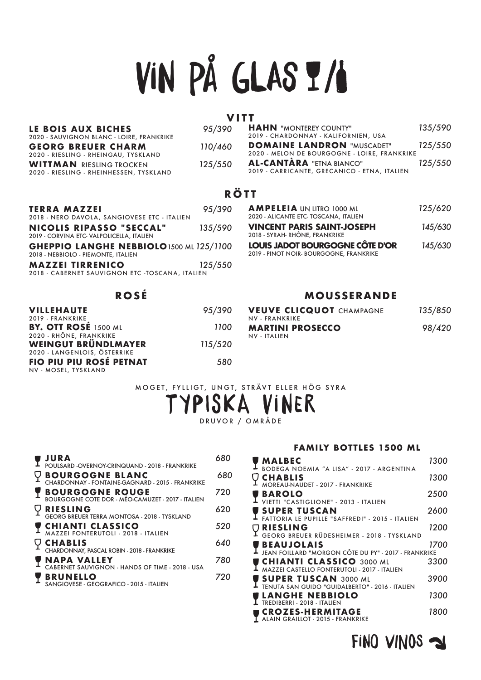# vin på glas

#### **VITT**

| 95/390  | <b>HAHN</b> "MONTEREY COUNTY"<br>2019 - CHARDONNAY - KALIFORNIEN, USA | 135/590                                                                         |
|---------|-----------------------------------------------------------------------|---------------------------------------------------------------------------------|
| 110/460 | <b>DOMAINE LANDRON "MUSCADET"</b>                                     | 125/550                                                                         |
| 125/550 | 2019 - CARRICANTE, GRECANICO - ETNA, ITALIEN                          | 125/550                                                                         |
|         |                                                                       | 2020 - MELON DE BOURGOGNE - LOIRE, FRANKRIKE<br><b>AL-CANTÀRA</b> "ETNA BIANCO" |

#### **RÖTT**

| TERRA MAZZEI                                                                           | 95/390  |
|----------------------------------------------------------------------------------------|---------|
| 2018 - NERO DAVOLA, SANGIOVESE ETC - ITALIEN                                           |         |
| <b>NICOLIS RIPASSO "SECCAL"</b><br>2019 - CORVINA ETC-VALPOLICELLA, ITALIEN            | 135/590 |
| <b>GHEPPIO LANGHE NEBBIOLO 1500 ML 125/1100</b><br>2018 - NEBBIOLO - PIEMONTE, ITALIEN |         |
| <b>MAZZEI TIRRENICO</b><br>2018 - CABERNET SAUVIGNON ETC -TOSCANA, ITALIEN             | 125/550 |

#### **ROSÉ**

| <b>VILLEHAUTE</b>            | 95/390  |
|------------------------------|---------|
| 2019 - FRANKRIKE             |         |
| BY. OTT ROSÉ 1500 ML         | 1100    |
| 2020 - RHÔNE, FRANKRIKE      |         |
| WEINGUT BRÜNDLMAYER          | 115/520 |
| 2020 - LANGENLOIS, ÖSTERRIKE |         |
| FIO PIU PIU ROSÉ PETNAT      | 580     |
| NV - MOSEL, TYSKLAND         |         |

#### **AMPELEIA** UN LITRO 1000 ML *125/620*  2020 - ALICANTE ETC- TOSCANA, ITALIEN **VINCENT PARIS SAINT-JOSEPH** *145/630* 2018 - SYRAH- RHÔNE, FRANKRIKE **LOUIS JADOT BOURGOGNE CÔTE D'OR** *145/630* 2019 - PINOT NOIR- BOURGOGNE, FRANKRIKE

#### **MOUSSERANDE**

| <b>VEUVE CLICQUOT CHAMPAGNE</b><br>NV - FRANKRIKE | 135/850 |
|---------------------------------------------------|---------|
| <b>MARTINI PROSECCO</b><br>NV - ITALIEN           | 98/420  |

MOGET, FYLLIGT, UNGT, STRÄVT ELLER HÖG SYRA

### typiska viner

DRUVOR / OMRÅDE

| <b>JURA</b><br>POULSARD -OVERNOY-CRINQUAND - 2018 - FRANKRIKE               | 680 |
|-----------------------------------------------------------------------------|-----|
| <b>BOURGOGNE BLANC</b><br>CHARDONNAY - FONTAINE-GAGNARD - 2015 - FRANKRIKE  | 680 |
| <b>BOURGOGNE ROUGE</b><br>BOURGOGNE COTE DOR - MÉO-CAMUZET - 2017 - ITALIEN | 720 |
| <b>RIESLING</b><br>GEORG BREUER TERRA MONTOSA - 2018 - TYSKLAND             | 620 |
| <b>CHIANTI CLASSICO</b><br>MAZZEI FONTERUTOLI - 2018 - ITALIEN              | 520 |
| <b>CHABLIS</b><br>CHARDONNAY, PASCAL ROBIN - 2018 - FRANKRIKE               | 640 |
| <b>NAPA VALLEY</b><br>CABERNET SAUVIGNON - HANDS OF TIME - 2018 - USA       | 780 |
| <b>BRUNELLO</b><br>SANGIOVESE - GEOGRAFICO - 2015 - ITALIEN                 | 720 |
|                                                                             |     |

#### **FAMILY BOTTLES 1500 ML**

| MALBEC<br>BODEGA NOEMIA "A LISA" - 2017 - ARGENTINA                                    | 1300 |
|----------------------------------------------------------------------------------------|------|
| <b>CHABLIS</b><br><b>MOREAU-NAUDET - 2017 - FRANKRIKE</b>                              | 1300 |
| <b>BAROLO</b><br>VIETTI "CASTIGLIONE" - 2013 - ITALIEN                                 | 2500 |
| <b>SUPER TUSCAN</b>                                                                    | 2600 |
| FATTORIA LE PUPILLE "SAFFREDI" - 2015 - ITALIEN<br><b>RIESLING</b>                     | 1200 |
| GEORG BREUER RÜDESHEIMER - 2018 - TYSKLAND<br><b>BEAUJOLAIS</b>                        | 1700 |
| JEAN FOILLARD "MORGON CÔTE DU PY" - 2017 - FRANKRIKE                                   |      |
| <b>CHIANTI CLASSICO</b> 3000 ML<br><b>MAZZEI CASTELLO FONTERUTOLI - 2017 - ITALIEN</b> | 3300 |
| <b>SUPER TUSCAN 3000 ML</b><br>TENUTA SAN GUIDO "GUIDALBERTO" - 2016 - ITALIEN         | 3900 |
| <b>LANGHE NEBBIOLO</b><br>TREDIBERRI - 2018 - ITALIEN                                  | 1300 |
| <b>CROZES-HERMITAGE</b><br>ALAIN GRAILLOT - 2015 - FRANKRIKE                           | 1800 |

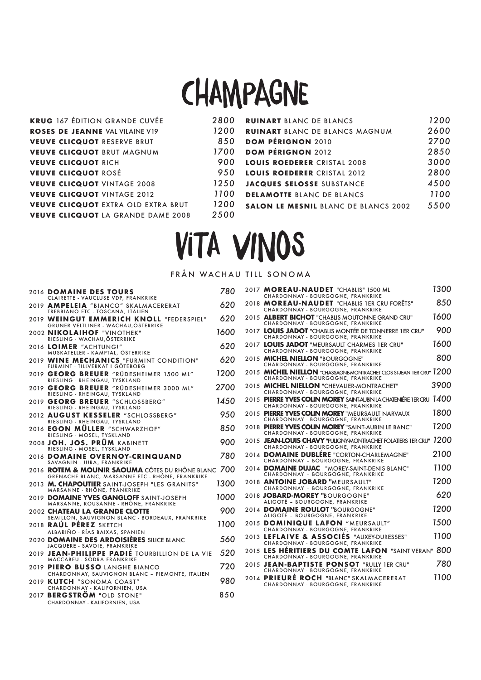### **CHAMPAGNE**

| <b>KRUG</b> 167 ÉDITION GRANDE CUVÉE       | 2800 | <b>RUINART BLANC DE BLANCS</b>              | 1200 |
|--------------------------------------------|------|---------------------------------------------|------|
| <b>ROSES DE JEANNE VAL VILAINE V19</b>     | 1200 | <b>RUINART BLANC DE BLANCS MAGNUM</b>       | 2600 |
| <b>VEUVE CLICQUOT RESERVE BRUT</b>         | 850  | <b>DOM PÉRIGNON 2010</b>                    | 2700 |
| <b>VEUVE CLICQUOT BRUT MAGNUM</b>          | 1700 | <b>DOM PÉRIGNON 2012</b>                    | 2850 |
| <b>VEUVE CLICQUOT RICH</b>                 | 900  | <b>LOUIS ROEDERER CRISTAL 2008</b>          | 3000 |
| <b>VEUVE CLICQUOT ROSÉ</b>                 | 950  | LOUIS ROEDERER CRISTAL 2012                 | 2800 |
| <b>VEUVE CLICQUOT VINTAGE 2008</b>         | 1250 | <b>JACQUES SELOSSE SUBSTANCE</b>            | 4500 |
| <b>VEUVE CLICQUOT VINTAGE 2012</b>         | 1100 | <b>DELAMOTTE BLANC DE BLANCS</b>            | 1100 |
| <b>VEUVE CLICQUOT EXTRA OLD EXTRA BRUT</b> | 1200 | <b>SALON LE MESNIL BLANC DE BLANCS 2002</b> | 5500 |
| <b>VEUVE CLICQUOT LA GRANDE DAME 2008</b>  | 2500 |                                             |      |
|                                            |      |                                             |      |

### vita vinos

#### FRÅN WACHAU TILL SONOMA

| 2016 DOMAINE DES TOURS                                                                                        | 780  |
|---------------------------------------------------------------------------------------------------------------|------|
| CLAIRETTE - VAUCLUSE VDP, FRANKRIKE<br>2019 AMPELEIA "BIANCO" SKALMACERERAT                                   | 620  |
| TREBBIANO ETC - TOSCANA, ITALIEN                                                                              |      |
| 2019 WEINGUT EMMERICH KNOLL "FEDERSPIEL"<br>GRÜNER VELTLINER - WACHAU, ÖSTERRIKE                              | 620  |
| 2002 NIKOLAIHOF "VINOTHEK"<br>RIESLING - WACHAU, ÖSTERRIKE                                                    | 1600 |
| 2016 LOIMER "ACHTUNG!"<br>MUSKATELLER - KAMPTAL, ÖSTERRIKE                                                    | 620  |
| 2019 WINE MECHANICS "FURMINT CONDITION"<br>FURMINT - TILLVERKAT I GÖTEBORG                                    | 620  |
| 2019 GEORG BREUER "RÜDESHEIMER 1500 ML"<br>RIESLING - RHEINGAU, TYSKLAND                                      | 1200 |
| 2019 GEORG BREUER "RÜDESHEIMER 3000 ML"<br>RIESLING - RHEINGAU, TYSKLAND                                      | 2700 |
| 2019 GEORG BREUER "SCHLOSSBERG"<br>RIESLING - RHEINGAU, TYSKLAND                                              | 1450 |
| 2012 AUGUST KESSELER "SCHLOSSBERG"<br>RIESLING - RHEINGAU, TYSKLAND                                           | 950  |
| 2016 EGON MÜLLER "SCHWARZHOF"<br>RIESLING - MOSEL, TYSKLAND                                                   | 850  |
| 2008 JOH. JOS. PRÜM KABINETT<br>RIESLING - MOSEL, TYSKLAND                                                    | 900  |
| 2016 DOMAINE OVERNOY-CRINQUAND<br>SAVAGNIN - JURA, FRANKRIKE                                                  | 780  |
| 2016 <b>ROTEM &amp; MOUNIR SAOUMA</b> CÔTES DU RHÔNE BLANC<br>GRENACHE BLANC, MARSANNE ETC - RHÔNE, FRANKRIKE | 700  |
| 2013 M. CHAPOUTIER SAINT-JOSEPH "LES GRANITS"<br>MARSANNE - RHÔNE, FRANKRIKE                                  | 1300 |
| 2019 DOMAINE YVES GANGLOFF SAINT-JOSEPH<br>MARSANNE, ROUSANNE - RHÔNE, FRANKRIKE                              | 1000 |
| 2002 CHATEAU LA GRANDE CLOTTE<br>SEMILLON, SAUVIGNON BLANC - BORDEAUX, FRANKRIKE                              | 900  |
| 2018 RAÚL PÉREZ SKETCH<br>ALBARIÑO - RÍAS BAIXAS, SPANIEN                                                     | 1100 |
| 2020 DOMAINE DES ARDOISIÈRES SILICE BLANC<br>JACQUERE - SAVOIE, FRANKRIKE                                     | 560  |
| 2019 JEAN-PHILIPPE PADIE TOURBILLION DE LA VIE<br>MACCABEU - SÖDRA FRANKRIKE                                  | 520  |
| 2019 PIERO BUSSO LANGHE BIANCO                                                                                | 720  |
| CHARDONNAY, SAUVIGNON BLANC - PIEMONTE, ITALIEN<br>2019 KUTCH "SONOMA COAST"                                  | 980  |
| CHARDONNAY - KALIFORNIEN, USA<br>2017 BERGSTRÖM "OLD STONE"                                                   | 850  |
| CHARDONNAY - KALIFORNIEN, USA                                                                                 |      |

|  | 2017 MOREAU-NAUDET "CHABLIS" 1500 ML<br>CHARDONNAY - BOURGOGNE, FRANKRIKE                                 | 1300 |
|--|-----------------------------------------------------------------------------------------------------------|------|
|  | 2018 MOREAU-NAUDET "CHABLIS 1ER CRU FORÊTS"<br>CHARDONNAY - BOURGOGNE, FRANKRIKE                          | 850  |
|  | 2015 ALBERT BICHOT "CHABLIS MOUTONNE GRAND CRU"<br>CHARDONNAY - BOURGOGNE, FRANKRIKE                      | 1600 |
|  | 2017 LOUIS JADOT "CHABLIS MONTÉE DE TONNERRE 1ER CRU"<br>CHARDONNAY - BOURGOGNE, FRANKRIKE                | 900  |
|  | 2017 LOUIS JADOT "MEURSAULT CHARMES 1ER CRU"<br>CHARDONNAY - BOURGOGNE, FRANKRIKE                         | 1600 |
|  | 2015 MICHEL NIELLON "BOURGOGNE"<br>CHARDONNAY - BOURGOGNE, FRANKRIKE                                      | 800  |
|  | 2015 MICHEL NIELLON "CHASSAGNE-MONTRACHET CLOS ST-JEAN 1ER CRU" 1200<br>CHARDONNAY - BOURGOGNE, FRANKRIKE |      |
|  | 2015 MICHEL NIELLON "CHEVALIER-MONTRACHET"<br>CHARDONNAY - BOURGOGNE, FRANKRIKE                           | 3900 |
|  | 2015 PIERRE YVES COLIN MOREY SAINT-AUBIN LA CHATENIÉRE IER CRU 1400<br>CHARDONNAY - BOURGOGNE, FRANKRIKE  |      |
|  | 2015 PIERRE YVES COLIN MOREY "MEURSAULT NARVAUX<br>CHARDONNAY - BOURGOGNE, FRANKRIKE                      | 1800 |
|  | 2018 PIERRE YVES COLIN MOREY "SAINT-AUBIN LE BANC"<br>CHARDONNAY - BOURGOGNE, FRANKRIKE                   | 1200 |
|  | 2015 JEAN-LOUIS CHAVY "PULIGNY-MONTRACHET FOLATIERS 1ER CRU"<br>CHARDONNAY - BOURGOGNE, FRANKRIKE         | 1200 |
|  | 2014 DOMAINE DUBLÉRE "CORTON-CHARLEMAGNE"<br>CHARDONNAY - BOURGOGNE, FRANKRIKE                            | 2100 |
|  | 2014 DOMAINE DUJAC "MOREY-SAINT-DENIS BLANC"<br>CHARDONNAY - BOURGOGNE, FRANKRIKE                         | 1100 |
|  | 2018 ANTOINE JOBARD "MEURSAULT"<br>CHARDONNAY - BOURGOGNE, FRANKRIKE                                      | 1200 |
|  | 2018 JOBARD-MOREY "BOURGOGNE"<br>ALIGOTÉ - BOURGOGNE, FRANKRIKE                                           | 620  |
|  | 2014 DOMAINE ROULOT "BOURGOGNE"<br>ALIGOTÉ - BOURGOGNE, FRANKRIKE                                         | 1200 |
|  | 2015 DOMINIQUE LAFON "MEURSAULT"<br>CHARDONNAY - BOURGOGNE, FRANKRIKE                                     | 1500 |
|  | 2013 LEFLAIVE & ASSOCIÉS "AUXEY-DURESSES"<br>CHARDONNAY - BOURGOGNE, FRANKRIKE                            | 1100 |
|  | 2015 LES HÉRITIERS DU COMTE LAFON "SAINT VERAN" 800<br>CHARDONNAY - BOURGOGNE, FRANKRIKE                  |      |
|  | 2015 JEAN-BAPTISTE PONSOT "RULLY 1ER CRU"<br>CHARDONNAY - BOURGOGNE, FRANKRIKE                            | 780  |
|  | 2014 PRIEURÉ ROCH "BLANC" SKALMACERERAT<br>CHARDONNAY - BOURGOGNE, FRANKRIKE                              | 1100 |
|  |                                                                                                           |      |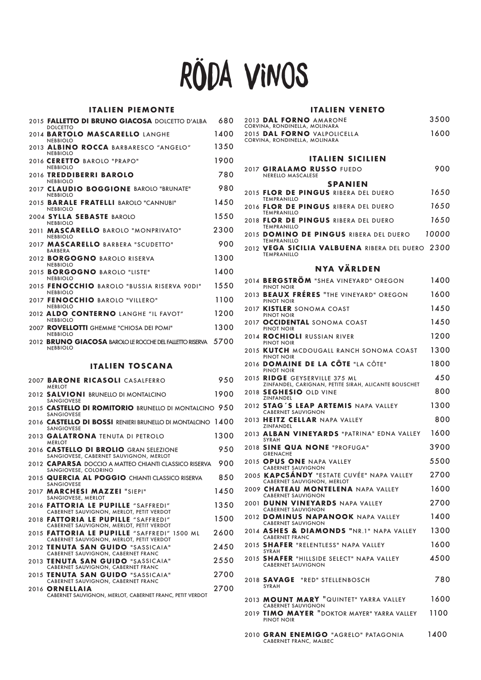## röda vinos

#### **ITALIEN PIEMONTE**

| 2015 <b>FALLETTO DI BRUNO GIACOSA</b> DOLCETTO D'ALBA<br><b>DOLCETTO</b>                            | 680  |
|-----------------------------------------------------------------------------------------------------|------|
| 2014 <b>BARTOLO MASCARELLO</b> LANGHE<br><b>NEBBIOLO</b>                                            | 1400 |
| 2013 ALBINO ROCCA BARBARESCO "ANGELO"<br><b>NEBBIOLO</b>                                            | 1350 |
| 2016 CERETTO BAROLO "PRAPO"<br><b>NEBBIOLO</b>                                                      | 1900 |
| 2016 TREDDIBERRI BAROLO<br><b>NEBBIOLO</b>                                                          | 780  |
| 2017 CLAUDIO BOGGIONE BAROLO "BRUNATE"<br><b>NEBBIOLO</b>                                           | 980  |
| 2015 <b>BARALE FRATELLI</b> BAROLO "CANNUBI"<br><b>NEBBIOLO</b>                                     | 1450 |
| 2004 SYLLA SEBASTE BAROLO<br><b>NEBBIOLO</b>                                                        | 1550 |
| 2011 MASCARELLO BAROLO "MONPRIVATO"<br><b>NEBBIOLO</b>                                              | 2300 |
| 2017 MASCARELLO BARBERA "SCUDETTO"<br><b>BARBERA</b>                                                | 900  |
| 2012 <b>BORGOGNO</b> BAROLO RISERVA<br><b>NEBBIOLO</b>                                              | 1300 |
| 2015 <b>BORGOGNO</b> BAROLO "LISTE"<br><b>NFRRIOLO</b>                                              | 1400 |
| 2015 FENOCCHIO BAROLO "BUSSIA RISERVA 90DI"<br><b>NEBBIOLO</b>                                      | 1550 |
| 2017 FENOCCHIO BAROLO "VILLERO"<br><b>NEBBIOLO</b>                                                  | 1100 |
| 2012 ALDO CONTERNO LANGHE "IL FAVOT"                                                                | 1200 |
| <b>NEBBIOLO</b><br>2007 ROVELLOTTI GHEMME "CHIOSA DEI POMI"                                         | 1300 |
| <b>NEBBIOLO</b><br>2012 BRUNO GIACOSA BAROLO LE ROCCHE DEL FALLETTO RISERVA 5700<br><b>NEBBIOLO</b> |      |
|                                                                                                     |      |

#### **ITALIEN TOSCANA**

| 2007 BARONE RICASOLI CASALFERRO<br><b>MERLOT</b>                                        | 950  |
|-----------------------------------------------------------------------------------------|------|
| 2012 SALVIONI BRUNELLO DI MONTALCINO<br><b>SANGIOVESE</b>                               | 1900 |
| 2015 <b>CASTELLO DI ROMITORIO</b> brunello di montalcino 950<br><b>SANGIOVESE</b>       |      |
| 2016 <b>CASTELLO DI BOSSI</b> RENIERI BRUNELLO DI MONTALCINO 1400<br><b>SANGIOVESE</b>  |      |
| 2013 GALATRONA TENUTA DI PETROLO<br><b>MERLOT</b>                                       | 1300 |
| 2016 CASTELLO DI BROLIO GRAN SELEZIONE<br>SANGIOVESE, CABERNET SAUVIGNON, MERLOT        | 950  |
| 2012 CAPARSA DOCCIO A MATTEO CHIANTI CLASSICO RISERVA<br>SANGIOVESE, COLORINO           | 900  |
| 2015 QUERCIA AL POGGIO CHIANTI CLASSICO RISERVA<br><b>SANGIOVESE</b>                    | 850  |
| 2017 MARCHESI MAZZEI "SIEPI"<br>SANGIOVESE, MERLOT                                      | 1450 |
| 2016 FATTORIA LE PUPILLE "SAFFREDI"<br>CABERNET SAUVIGNON, MERLOT, PETIT VERDOT         | 1350 |
| 2018 FATTORIA LE PUPILLE "SAFFREDI"<br>CABERNET SAUVIGNON, MERLOT, PETIT VERDOT         | 1500 |
| 2015 FATTORIA LE PUPILLE "SAFFREDI" 1500 ML<br>CABERNET SAUVIGNON, MERLOT, PETIT VERDOT | 2600 |
| 2012 TENUTA SAN GUIDO "SASSICAIA"<br>CABERNET SAUVIGNON, CABERNET FRANC                 | 2450 |
| 2013 TENUTA SAN GUIDO "SASSICAIA"<br>CABERNET SAUVIGNON, CABERNET FRANC                 | 2550 |
| 2015 TENUTA SAN GUIDO "SASSICAIA"<br>CABERNET SAUVIGNON, CABERNET FRANC                 | 2700 |
| 2016 ORNELLAIA<br>CABERNET SAUVIGNON, MERLOT, CABERNET FRANC, PETIT VERDOT              | 2700 |
|                                                                                         |      |

#### **ITALIEN VENETO**

| 2013 DAL FORNO AMARONE        | 3500 |
|-------------------------------|------|
| CORVINA, RONDINELLA, MOLINARA |      |
| 2015 DAL FORNO VALPOLICELLA   | 1600 |
| CORVINA, RONDINELLA, MOLINARA |      |

#### **ITALIEN SICILIEN**

| 2017 GIRALAMO RUSSO FUEDO<br><b>NERELLO MASCALESE</b>                  | 900   |
|------------------------------------------------------------------------|-------|
| <b>SPANIEN</b>                                                         |       |
| 2015 FLOR DE PINGUS RIBERA DEL DUERO<br><b>TEMPRANILLO</b>             | 1650  |
| 2016 FLOR DE PINGUS RIBERA DEL DUERO<br><b>TEMPRANILLO</b>             | 1650  |
| 2018 FLOR DE PINGUS RIBERA DEL DUERO<br><b>TEMPRANILLO</b>             | 1650  |
| 2015 DOMINO DE PINGUS RIBERA DEL DUERO<br><b>TEMPRANILLO</b>           | 10000 |
| 2012 VEGA SICILIA VALBUENA RIBERA DEL DUERO 2300<br><b>TEMPRANILLO</b> |       |

#### **NYA VÄRLDEN**

| 2014 BERGSTROM "SHEA VINEYARD" OREGON<br>PINOT NOIR                                   | 1400 |
|---------------------------------------------------------------------------------------|------|
| 2013 BEAUX FRERES "THE VINEYARD" OREGON<br>PINOT NOIR                                 | 1600 |
| 2017 <b>KISTLER</b> SONOMA COAST<br>PINOT NOIR                                        | 1450 |
| 2017 OCCIDENTAL SONOMA COAST<br>PINOT NOIR                                            | 1450 |
| 2014 ROCHIOLI RUSSIAN RIVER<br><b>PINOT NOIR</b>                                      | 1200 |
| 2015 KUTCH MCDOUGALL RANCH SONOMA COAST<br>PINOT NOIR                                 | 1300 |
| 2016 DOMAINE DE LA CÔTE "LA CÔTE"<br>PINOT NOIR                                       | 1800 |
| 2015 RIDGE GEYSERVILLE 375 ML<br>ZINFANDEL, CARIGNAN, PETITE SIRAH, ALICANTE BOUSCHET | 450  |
| 2018 SEGHESIO OLD VINE<br>ZINFANDEL                                                   | 800  |
| 2012 STAG'S LEAP ARTEMIS NAPA VALLEY<br><b>CABERNET SAUVIGNON</b>                     | 1300 |
| 2013 HEITZ CELLAR NAPA VALLEY<br>ZINFANDEL                                            | 800  |
| 2013 ALBAN VINEYARDS "PATRINA" EDNA VALLEY<br>SYRAH                                   | 1600 |
| 2018 SINE QUA NONE "PROFUGA"<br><b>GRENACHE</b>                                       | 3900 |
| 2015 OPUS ONE NAPA VALLEY<br><b>CABERNET SAUVIGNON</b>                                | 5500 |
| 2005 KAPCSANDY "ESTATE CUVÉE" NAPA VALLEY<br>CABERNET SAUVIGNON, MERLOT               | 2700 |
| 2009 <b>CHATEAU MONTELENA</b> NAPA VALLEY<br><b>CABERNET SAUVIGNON</b>                | 1600 |
| 2001 DUNN VINEYARDS NAPA VALLEY<br><b>CABERNET SAUVIGNON</b>                          | 2700 |
| 2012 DOMINUS NAPANOOK NAPA VALLEY<br><b>CABERNET SAUVIGNON</b>                        | 1400 |
| 2014 ASHES & DIAMONDS "NR.1" NAPA VALLEY<br><b>CABERNET FRANC</b>                     | 1300 |
| 2015 SHAFER "RELENTLESS" NAPA VALLEY<br>SYRAH                                         | 1600 |
| 2015 SHAFER "HILLSIDE SELECT" NAPA VALLEY<br><b>CABERNET SAUVIGNON</b>                | 4500 |
| 2018 <b>SAVAGE</b><br>"RED" STELLENBOSCH<br>SYRAH                                     | 780  |
| 2013 MOUNT MARY "QUINTET" YARRA VALLEY<br><b>CABERNET SAUVIGNON</b>                   | 1600 |
| 2019 TIMO MAYER "DOKTOR MAYER" YARRA VALLEY<br>PINOT NOIR                             | 1100 |
| 2010 GRAN ENEMIGO "AGRELO" PATAGONIA<br>CABERNET FRANC, MALBEC                        | 1400 |